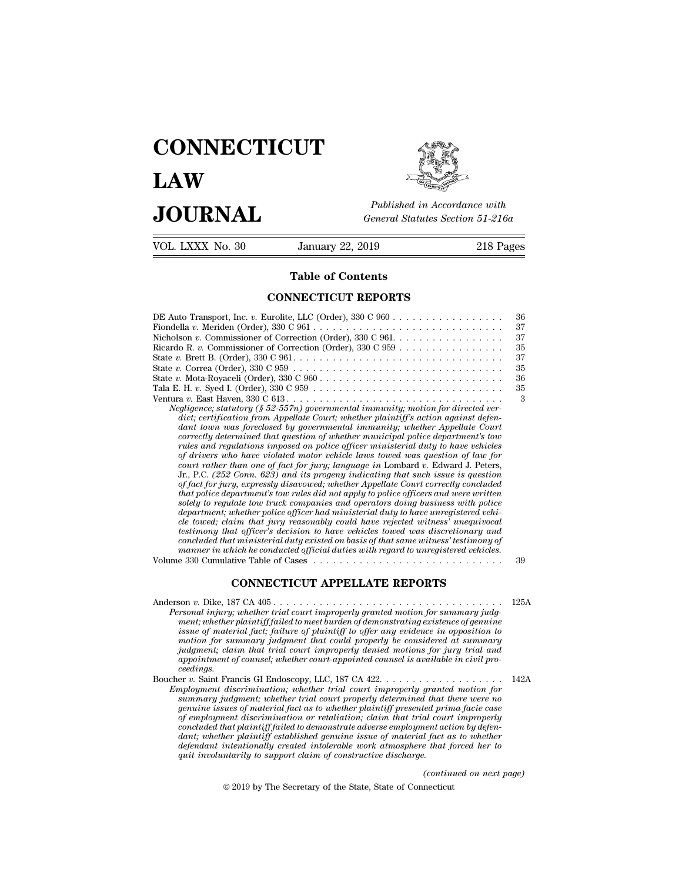## **CONNECTICUT LAW PUBLICE CONNECTICUT**<br> **Published in Accordance with**<br> **JOURNAL** *General Statutes Section 51-216a*<br> **Published in Accordance with** VOL. LXXX No. 30 January 22, 2019 218 Pages



Published in A.<br>
General Statutes<br> **Table of Contents<br>
NECTICUT REPORTS** 

| JUUKNAL          |                                                                                                                                                                                                                                                                                                                                                                                                                                                                                                                                                                                                                                                                                                                                                                                                                                                                                                                                                                                                                                                                                                                                                                                                                                                                                                                                                                                                                                                    | General Statutes Section 51-216a |  |  |
|------------------|----------------------------------------------------------------------------------------------------------------------------------------------------------------------------------------------------------------------------------------------------------------------------------------------------------------------------------------------------------------------------------------------------------------------------------------------------------------------------------------------------------------------------------------------------------------------------------------------------------------------------------------------------------------------------------------------------------------------------------------------------------------------------------------------------------------------------------------------------------------------------------------------------------------------------------------------------------------------------------------------------------------------------------------------------------------------------------------------------------------------------------------------------------------------------------------------------------------------------------------------------------------------------------------------------------------------------------------------------------------------------------------------------------------------------------------------------|----------------------------------|--|--|
| VOL. LXXX No. 30 | January 22, 2019                                                                                                                                                                                                                                                                                                                                                                                                                                                                                                                                                                                                                                                                                                                                                                                                                                                                                                                                                                                                                                                                                                                                                                                                                                                                                                                                                                                                                                   | 218 Pages                        |  |  |
|                  | <b>Table of Contents</b>                                                                                                                                                                                                                                                                                                                                                                                                                                                                                                                                                                                                                                                                                                                                                                                                                                                                                                                                                                                                                                                                                                                                                                                                                                                                                                                                                                                                                           |                                  |  |  |
|                  | <b>CONNECTICUT REPORTS</b>                                                                                                                                                                                                                                                                                                                                                                                                                                                                                                                                                                                                                                                                                                                                                                                                                                                                                                                                                                                                                                                                                                                                                                                                                                                                                                                                                                                                                         |                                  |  |  |
|                  | Nicholson v. Commissioner of Correction (Order), $330 \text{ C } 961. \ldots \ldots \ldots \ldots \ldots$                                                                                                                                                                                                                                                                                                                                                                                                                                                                                                                                                                                                                                                                                                                                                                                                                                                                                                                                                                                                                                                                                                                                                                                                                                                                                                                                          | 36<br>37<br>37                   |  |  |
|                  | Ricardo R. v. Commissioner of Correction (Order), $330 \text{ C } 959 \ldots \ldots \ldots \ldots \ldots$                                                                                                                                                                                                                                                                                                                                                                                                                                                                                                                                                                                                                                                                                                                                                                                                                                                                                                                                                                                                                                                                                                                                                                                                                                                                                                                                          | 35                               |  |  |
|                  |                                                                                                                                                                                                                                                                                                                                                                                                                                                                                                                                                                                                                                                                                                                                                                                                                                                                                                                                                                                                                                                                                                                                                                                                                                                                                                                                                                                                                                                    | 37                               |  |  |
|                  | State v. Correa (Order), $330 \text{ C } 959 \ldots \ldots \ldots \ldots \ldots \ldots \ldots \ldots \ldots \ldots \ldots \ldots$                                                                                                                                                                                                                                                                                                                                                                                                                                                                                                                                                                                                                                                                                                                                                                                                                                                                                                                                                                                                                                                                                                                                                                                                                                                                                                                  | 35                               |  |  |
|                  | State v. Mota-Royaceli (Order), $330 \text{ C } 960 \ldots \ldots \ldots \ldots \ldots \ldots \ldots \ldots \ldots \ldots$                                                                                                                                                                                                                                                                                                                                                                                                                                                                                                                                                                                                                                                                                                                                                                                                                                                                                                                                                                                                                                                                                                                                                                                                                                                                                                                         | 36                               |  |  |
|                  | Tala E. H. $v.$ Syed I. (Order), $330 \text{ C } 959 \ldots \ldots \ldots \ldots \ldots \ldots \ldots \ldots \ldots \ldots$                                                                                                                                                                                                                                                                                                                                                                                                                                                                                                                                                                                                                                                                                                                                                                                                                                                                                                                                                                                                                                                                                                                                                                                                                                                                                                                        | 35<br>3                          |  |  |
|                  | Negligence; statutory (§ 52-557n) governmental immunity; motion for directed ver-<br>dict; certification from Appellate Court; whether plaintiff's action against defen-<br>dant town was foreclosed by governmental immunity; whether Appellate Court<br>correctly determined that question of whether municipal police department's tow<br>rules and regulations imposed on police officer ministerial duty to have vehicles<br>of drivers who have violated motor vehicle laws towed was question of law for<br>court rather than one of fact for jury; language in Lombard v. Edward J. Peters,<br>Jr., P.C. $(252 \text{ Conn. } 623)$ and its progeny indicating that such issue is question<br>of fact for jury, expressly disavowed; whether Appellate Court correctly concluded<br>that police department's tow rules did not apply to police officers and were written<br>solely to regulate tow truck companies and operators doing business with police<br>department; whether police officer had ministerial duty to have unregistered vehi-<br>cle towed; claim that jury reasonably could have rejected witness' unequivocal<br>testimony that officer's decision to have vehicles towed was discretionary and<br>concluded that ministerial duty existed on basis of that same witness' testimony of<br>manner in which he conducted official duties with regard to unregistered vehicles.<br>Volume 330 Cumulative Table of Cases | 39                               |  |  |
|                  | <b>CONNECTICUT APPELLATE REPORTS</b>                                                                                                                                                                                                                                                                                                                                                                                                                                                                                                                                                                                                                                                                                                                                                                                                                                                                                                                                                                                                                                                                                                                                                                                                                                                                                                                                                                                                               |                                  |  |  |
|                  | Personal injury; whether trial court improperly granted motion for summary judg-<br>ment: whether plaintiff failed to meet burden of demonstrating existence of genuine                                                                                                                                                                                                                                                                                                                                                                                                                                                                                                                                                                                                                                                                                                                                                                                                                                                                                                                                                                                                                                                                                                                                                                                                                                                                            | 125A                             |  |  |

*Personal in which he conducted official duties with regard to unregistered vehicles.*<br> **Person** *P.* Dike, 187 CA 405<br> **Personal injury;** whether trial court improperly granted motion for summary judg-<br> *Personal injury;* **a** 330 Cumulative Table of Cases<br> **CONNECTICUT APPELLATE REPORTS**<br> **ment;** whether trial court improperly granted motion for summary judgment;<br>
whether plaintiff failed to meet burden of demonstrating existence of genuine *CONNECTICUT APPELLATE REPORTS*<br> *issue of material factive interior of demonstrating existence of genuine***<br>** *issue of material facti, failure of plaintiff to offer any evidence in opposition to***<br>** *issue of material fac motion for summary judgment that could properly be considered at summary Judgment; claim that trial court improperly granted motion for summary judgment; whether trial court improperly granted motion for summary judgment; whether plaintiff failed to meet burden of demonstrating existence of g* **b** approach the sum of counseling the country of counseling the country of counseling the ment; whether plaintiff failed to meet burden of demonstrating existence of genuine issue of material fact; failure of plaintiff to *ceedings.*<br>Boucher v. Saint Francis GI Endoscopy, LLC, 187 CA 422. . . . . . . . . . . . . . Fersonal tripary; whether rrial court improperty granted motion for samiliary guag-<br>ment; whether plaintiff failed to meet burden of demonstrating existence of genuine<br>issue of material fact; failure of plaintiff to offer *Email whether platinumg discrimination; whether discrimination; demonstrating existence of platinum issue of material fact; failure of platiniff to offer any evidence in opposition to motion for summary judgment that coul* 

*summary judgment hat could properly be onsidered a summary modion for summary indgment; claim that trial court improperly deconsidered at summary dependent of counsel; whether court-appointed counsel is available in civil genuine issues of material fact as to whether count improperty denial material and inagremic diam that trial court improperty denied motions for jury trial and appointment of counsel, whether court-appointed counsel is av puagment; claim that trial court improperly denied motions for jury trial and<br>appoinment of counsel; whether court-appointed counsel is available in civil pro-<br>ceedings.<br>For v. Saint Francis GI Endoscopy, LLC, 187 CA 422. coedings.*<br> *coedings.*<br> *coedings.*<br> *coredings.*<br> *comployment discrimination; whether trial court improperly granted motion for*<br> *summary judgment; whether trial court improperly granted motion for<br>
summary judgment; devaluations.* If the plant is considered in the playing the set all the symployment discrimination; whether trial court improperly granted motion for playment discrimination; whether trial court improperly determined tha *defendant intentionally created intolerable work atmosphere that forced her to* mployment discrimination; whether trial court improperty grante<br>summary judgment; whether trial court properly determined that if<br>genuine issues of material fact as to whether plaintiff presented pri-<br>of employment discrim *(compared prima facie case)*<br>*(dominution by defenition by defenition by defenition by defenition*<br>*l fact as to whether*<br>*e that forced her to*<br>*(continued on next page)*<br>necticut  $\epsilon$  bath plaintiff failed to demonstrate adverse employment actional bath plaintiff failed to demonstrate adverse employment action are plaintiff established genuine issue of material fact as intertionally created intole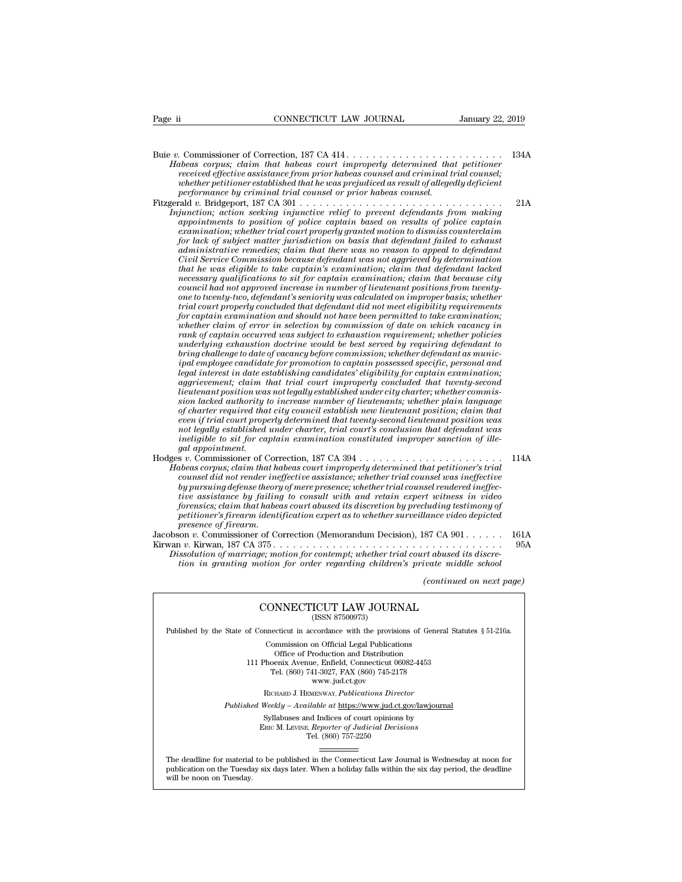Buie *v.* Commissioner of Correction, 187 CA 414 . . . . . . . . . . . . . . . . . . . . . . . . 134A *Habeas corpus; claim that habeas court improperly determined that petitioner received effective assistance from prior habeas counsel and criminal trial counsels corpus; claim that habeas count improperly determined that petitioner received effective assistance from prior habeas counsel and crimina whether petitioner established that he was prejudiced as result of allegedly deficient*<br>*whether petitioner established that habeas court improperly determined that petitioner*<br>*received effective assistance from prior ha performance by criminal trial counsel or prior habeas corpus;*<br>*pheas corpus; claim that habeas count improperly determined that*<br>*performance by criminal trial counsel or prior habeas counsel.*<br>*performance by criminal* Fitzgerald *v.* Bridgeport, 187 CA 301 . . . . . . . . . . . . . . . . . . . . . . . . . . . . . . . 21A *Injunction; action seeking injunctive relief to prevent defendants from making appointments to position of police captain based on results of police captain examing the model of the model of trial court improperly determined individence;*<br> *exceived effective assistance from prior habeas counsel and criminal trial counsel;*<br> *examination eriginal trial counsel or prior habeas for forestyce and fore consistence from prior naoeas counset and criminal trial counset;*<br>whether petformance by criminal trial counsel or prejudiced as result of allegedly deficient<br>and v. Bridgeport, 187 CA 301 . . . . *administrative remedies; claim that there was no reason to appeal to defendant Civil Service Commission because defendant was not aggrieved by determination that he was eligible to take captain's examination; claim that defendant lacked* punction; action seeking impunctive relief to prevent defendants from making<br>appointments to position of police captain based on results of police captain<br>examination; whether trial court properly granted motion to dismiss examination; whether trial court properly granted motion to dismiss counterclaim<br>for lack of subject matter jurisdiction on basis that defendant failed to exhaust<br>administrative remedies; claim that there was no reason to *examination, whether trial court property granted motion to dismiss counterclaim*<br>for lack of subject matter jurisdiction on basis that defendant failed to exhaust<br>administrative remedies; claim that there was no reason t *tor lack of subject matter jurisdiction on basis that defendant failed to exhaust<br>administrative remedies; claim that there was no reason to appread to defendant<br>Civil Service Commission because defendant was not aggrieve administrative remedies; claim that there was no reason to appeat to defendant*<br>Civil Service Commission because defendant was not aggriveed by determination<br>that he was eligible to take captain's examination; claim that *Crvul Service Commission because defendant was not aggrieved by determination*<br>that he was eligible to take captain's examination; claim that defendant lacked<br>necessary qualifications to sit for captain examination; claim *rank he was etigible to take captain's examination; claim that defendant lacked* mecessary qualifications to sit for captain examination; claim that because city-council had not approved increase in number of lieutenant p *necessary qualifications to sit for captain examination; claim that because city*<br>council had not approved increase in number of lieutenant positions from twenty-<br>one to twenty-two, defendant's seniority was calculated on *browntour thad not approved increase in number of lieutenant positions from twenty-<br>one to twenty-two, defendant's seniority was calculated on improper basis; whether<br>trial court properly concluded that defendant did not* one to twenty-two, defendant's sensority was calculated on improper basis; whether<br>trial court properly concluded that defendant did not meet eligibility requirements<br>for captain examination and should not have been permit *legal interest in date that defendant did not meet eligibility requirements*<br>for captain examination and should not have been permitted to take examination;<br>whether claim of error in selection by commission of date on whi *for captain examination and should not have been permitted to take examination;*<br> *awhether claim of error in selection by commission of date on which vacancy in*<br> *rank of captain occurred was subject to exhaustion requi lieutence claim of error in selection by commission of date on which vacancy in* rank of captain occurred was subject to exhaustion requirement; whether policies underlying exhaustion doctrine would be best served by requ rank of captain occurred was subject to exhaustion requirement; whether policies<br>underlying exhaustion doctrine would be best served by requiring defendant to<br>bring challenge to date of vacancy before commission; whether d *of charter required to date of vacancy before commission; whether defendant as municipal employee condidate for promotion to captain possessed specific, personal and igaal interest in date establishing candidates' eligibi bring challenge to date of vacancy before commission; whether defendant as municipal employee candidate for promotion to captain possessed specific, personal and legal interest in date establishing candidates' eligibility npal employee candidate for promotion to captain possessed specific, personal and* legal interest in date establishing candidates' eligibility for captain examination; aggrievement; claim that trial court improperly concl *ineligible to sit for captain in that trial court improperly concluded that twenty-second*<br>icenterant position was not legally established under city charter, whether commis-<br>ison lacked authority to increase number of li *gagrievement; claim the intentenant position was<br>sion lacked authority to of charter required that<br>of charter required that<br>even if trial court prope<br>ment legally established<br>ineligible to sit for cagal appointment.<br>s v.* reuteriant position was not tegatig established under clug charter; whether plan language<br>sion lacked authority to increase number of lieutenants; whether plain language<br>of charter required that city council establish new *Habeas culture in that city courtedse number of the<br>dish new lieutenant position; claim that even if trial court required that twenty-second lieutenant position was<br>not legally established under charter, trial court's con counsel marter required that cuty councu establish new theutenant position; claim that there is if rial court is conclusion that defendant was ineligible to sit for captain examination constituted improper sanction of ill by and court property determined that weenty-second neutenant position was not legally established under charter, trial court's conclusion that defendant was ineligible to sit for captain examination constituted improper tion is a tighty established under charter, trial court s conclusion that defendant was*<br> *tialighte to sit for captain examination constituted improper sanction of ille-*<br> *gal appointment.*<br> *s v. Commissioner of Correc forensics; claim that habeas court abused its discretion by precluding testimony of petitionerial*<br> *periodisioner of Correction, 187 CA 394*<br> *pheas corpus; claim that habeas court improperly determined that petitioner's trial<br>
counsel did not render ineffective assistance; whether trial counsel was ine presence of Correlations correlates correlates correlates in that had not render inequalities by pursuing defense theory tive assistance by failing forensics; claim that habeel performation or a firearm. The presence of f* Fraceas corpus; carm until nabeas court improperty attentional matique restriction counsel did not render ineffective assistance; whether trial counsel was ineffective by pursuing defense theory of mere presence; whether t

Fouriset and not render the effective assistance; whether trial counset was ineffective<br>by prarsuing defense theory of mere presence; whether trial counsel rendered ineffec-<br>tive assistance by failing to consult with and r *Dissolution of marriage; motion for content with and retain experimental trials in victor discretioner by failing to consult with and retain expert witness in video forensics; claim that habeas court abused its discretion tive assistance of jutting to consult with and retain expert witness in viaeo*<br>forensics; claim that habeas court abused its discretion by precluding testimony of<br>petitioner's firearm identification expert as to whether s *(continued on next page)* CONNECTICUT LAW JOURNAL

# tion in granting motion for order regarding children's private middle school<br>(continued on next)<br> $\text{CONNECTICUT LAW JOURNAL}$  (ISSN 87500973)

Published by the State of Connecticut in accordance with the provisions of General Statutes § 51-216a. CONNECTICUT LAW JOURNAL<br>
(ISSN 87500973)<br>
inecticut in accordance with the provisions of Gener<br>
Commission on Official Legal Publications<br>
Office of Production and Distribution<br>
office of Production and Distribution **NNECTICUT LAW JOURNAL**<br>
(ISSN 87500973)<br>
cticut in accordance with the provisions of Gener<br>
mmission on Official Legal Publications<br>
Office of Production and Distribution<br>
centra Avenue, Enfield, Connecticut 06082-4453<br>
b

CONNECTICUT LAW JOURNAL<br>
(ISSN 87500973)<br>
of Connecticut in accordance with the provisions of General State<br>
Commission on Official Legal Publications<br>
Office of Production and Distribution<br>
111 Phoenix Avenue, Enfield, Co  $\begin{array}{l} \hbox{(ISSN 87500973)}\\ \hbox{eccicut in accordance with the provisions of Gener\\ \hbox{ommission on Official Legal Publications} \\ \hbox{Office of Production and Distribution} \\ \hbox{oenix Avenue, Enfield, Connecticut 06082-4453} \\ \hbox{Tel. (860) 741-3027, FAX (860) 745-2178} \\ \hbox{www.jud.ct.gov} \end{array}$ reordance with the provision<br>on Official Legal Publication<br>roduction and Distribution<br>e, Enfield, Connecticut 06<br>11-3027, FAX (860) 745-21'<br>www.jud.ct.gov<br>zENWAY, *Publications Dire* Rommission on Official Legal Publications<br>
Office of Production and Distribution<br>
Phoenix Avenue, Enfield, Connecticut 06082-4453<br>
Tel. (860) 741-3027, FAX (860) 745-2178<br>
www.jud.ct.gov<br>
RICHARD J. HEMENWAY, Publications Office of Production and Distribution<br>
111 Phoenix Avenue, Enfield, Connecticut 06082-4453<br>
Tel. (860) 741-3027, FAX (860) 745-2178<br>
www.jud.ct.gov<br>
RICHARD J. HEMENWAY, *Publications Director*<br> *Published Weekly – Availab* Phoenix Avenue, Enfield, Connecticut 06082-4453<br>
Tel. (860) 741-3027, FAX (860) 745-2178<br>
www.jud.ct.gov<br>
RICHARD J. HEMENWAY, *Publications Director*<br>
Weekly – Available at <u>https://www.jud.ct.gov/lawjourna</u><br>
Syllabuses a

 $\begin{array}{c} \text{www. judc.t.gov} \\ \text{RICHARD J. HEMENTway, *Publications Director} \\ \text{Weekly - Available at <a href="https://www.judc.t.gov/}{https://www.judc.t.gov/}{https://www.judc.t.gov/}{\small Syllabuses} \text{ and Indices of court opinions by} \\ \text{Enc}\textbf{M.} \text{LEvINE, } \text{Reporter of } \text{Judicial Decisions} \\ \text{Tei.} \text{ (860) } 757\text{-}2250 \end{array}</math>*$ 

Published Weekly – Available at https://www.jud.ct.gov/lawjournal<br>Syllabuses and Indices of court opinions by<br>ERIC M. LEVINE, Reporter of Judicial Decisions<br>The deadline for material to be published in the Connecticut Law  $\begin{tabular}{l} \bf Syllabuses\ and\ Indices\ of\ court\ opinions\ by\\ \bf Enc\ M.\ LevINE,\ \textit{Reporter of\ Judicial\ Decisions}\\ \bf Tel.\ (860)\ 757-2250\\ \end{tabular}$  <br> The deadline for material to be published in the Connecticut Law Journal is Wednesday at noon for publication on the Tuesday six days later The deadline for material<br>publication on the Tuesday.<br>will be noon on Tuesday.